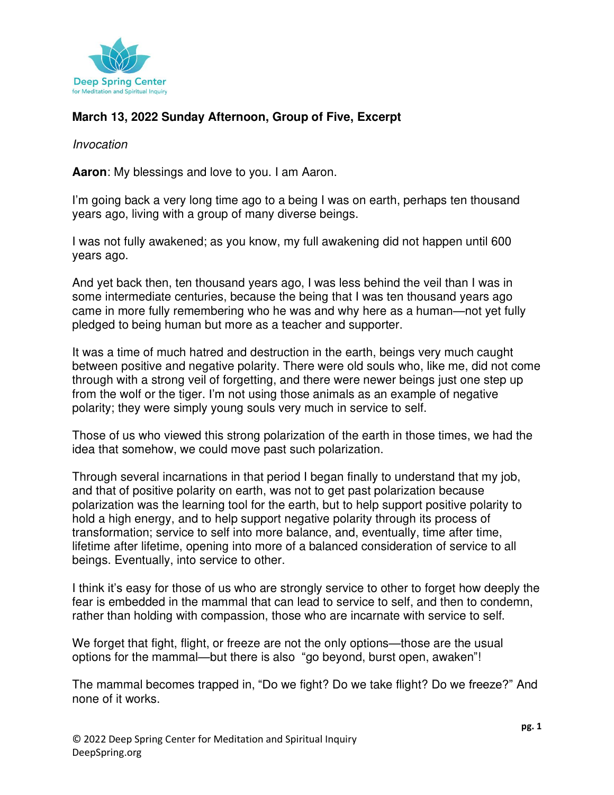

## **March 13, 2022 Sunday Afternoon, Group of Five, Excerpt**

## Invocation

**Aaron**: My blessings and love to you. I am Aaron.

I'm going back a very long time ago to a being I was on earth, perhaps ten thousand years ago, living with a group of many diverse beings.

I was not fully awakened; as you know, my full awakening did not happen until 600 years ago.

And yet back then, ten thousand years ago, I was less behind the veil than I was in some intermediate centuries, because the being that I was ten thousand years ago came in more fully remembering who he was and why here as a human—not yet fully pledged to being human but more as a teacher and supporter.

It was a time of much hatred and destruction in the earth, beings very much caught between positive and negative polarity. There were old souls who, like me, did not come through with a strong veil of forgetting, and there were newer beings just one step up from the wolf or the tiger. I'm not using those animals as an example of negative polarity; they were simply young souls very much in service to self.

Those of us who viewed this strong polarization of the earth in those times, we had the idea that somehow, we could move past such polarization.

Through several incarnations in that period I began finally to understand that my job, and that of positive polarity on earth, was not to get past polarization because polarization was the learning tool for the earth, but to help support positive polarity to hold a high energy, and to help support negative polarity through its process of transformation; service to self into more balance, and, eventually, time after time, lifetime after lifetime, opening into more of a balanced consideration of service to all beings. Eventually, into service to other.

I think it's easy for those of us who are strongly service to other to forget how deeply the fear is embedded in the mammal that can lead to service to self, and then to condemn, rather than holding with compassion, those who are incarnate with service to self.

We forget that fight, flight, or freeze are not the only options—those are the usual options for the mammal—but there is also "go beyond, burst open, awaken"!

The mammal becomes trapped in, "Do we fight? Do we take flight? Do we freeze?" And none of it works.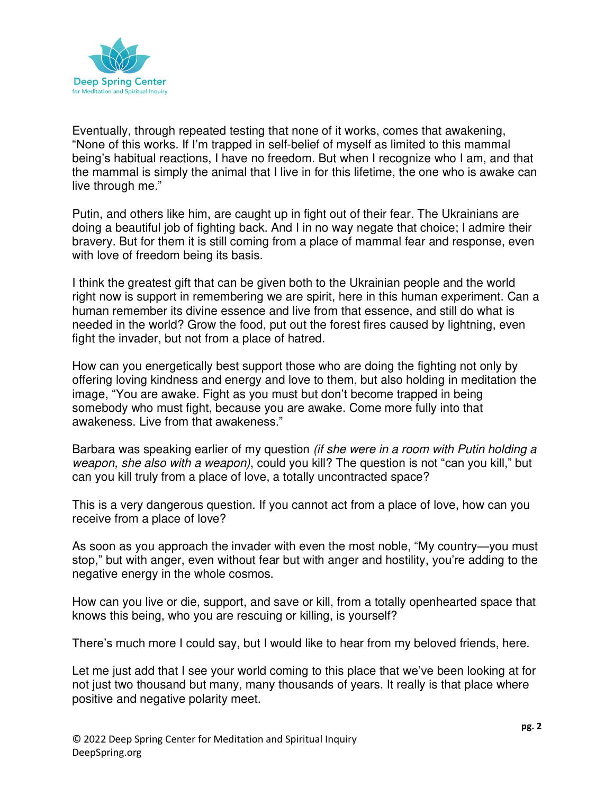

Eventually, through repeated testing that none of it works, comes that awakening, "None of this works. If I'm trapped in self-belief of myself as limited to this mammal being's habitual reactions, I have no freedom. But when I recognize who I am, and that the mammal is simply the animal that I live in for this lifetime, the one who is awake can live through me."

Putin, and others like him, are caught up in fight out of their fear. The Ukrainians are doing a beautiful job of fighting back. And I in no way negate that choice; I admire their bravery. But for them it is still coming from a place of mammal fear and response, even with love of freedom being its basis.

I think the greatest gift that can be given both to the Ukrainian people and the world right now is support in remembering we are spirit, here in this human experiment. Can a human remember its divine essence and live from that essence, and still do what is needed in the world? Grow the food, put out the forest fires caused by lightning, even fight the invader, but not from a place of hatred.

How can you energetically best support those who are doing the fighting not only by offering loving kindness and energy and love to them, but also holding in meditation the image, "You are awake. Fight as you must but don't become trapped in being somebody who must fight, because you are awake. Come more fully into that awakeness. Live from that awakeness."

Barbara was speaking earlier of my question *(if she were in a room with Putin holding a* weapon, she also with a weapon), could you kill? The question is not "can you kill," but can you kill truly from a place of love, a totally uncontracted space?

This is a very dangerous question. If you cannot act from a place of love, how can you receive from a place of love?

As soon as you approach the invader with even the most noble, "My country—you must stop," but with anger, even without fear but with anger and hostility, you're adding to the negative energy in the whole cosmos.

How can you live or die, support, and save or kill, from a totally openhearted space that knows this being, who you are rescuing or killing, is yourself?

There's much more I could say, but I would like to hear from my beloved friends, here.

Let me just add that I see your world coming to this place that we've been looking at for not just two thousand but many, many thousands of years. It really is that place where positive and negative polarity meet.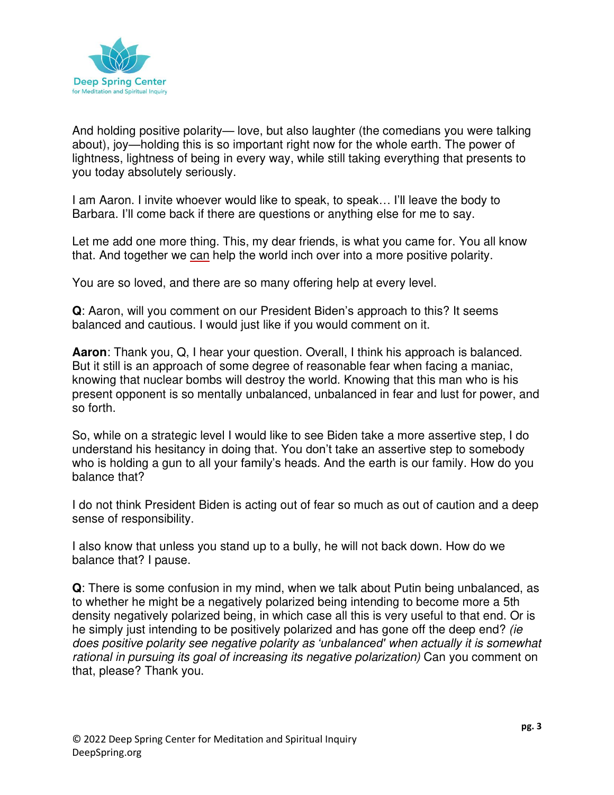

And holding positive polarity— love, but also laughter (the comedians you were talking about), joy—holding this is so important right now for the whole earth. The power of lightness, lightness of being in every way, while still taking everything that presents to you today absolutely seriously.

I am Aaron. I invite whoever would like to speak, to speak… I'll leave the body to Barbara. I'll come back if there are questions or anything else for me to say.

Let me add one more thing. This, my dear friends, is what you came for. You all know that. And together we can help the world inch over into a more positive polarity.

You are so loved, and there are so many offering help at every level.

**Q**: Aaron, will you comment on our President Biden's approach to this? It seems balanced and cautious. I would just like if you would comment on it.

**Aaron**: Thank you, Q, I hear your question. Overall, I think his approach is balanced. But it still is an approach of some degree of reasonable fear when facing a maniac, knowing that nuclear bombs will destroy the world. Knowing that this man who is his present opponent is so mentally unbalanced, unbalanced in fear and lust for power, and so forth.

So, while on a strategic level I would like to see Biden take a more assertive step, I do understand his hesitancy in doing that. You don't take an assertive step to somebody who is holding a gun to all your family's heads. And the earth is our family. How do you balance that?

I do not think President Biden is acting out of fear so much as out of caution and a deep sense of responsibility.

I also know that unless you stand up to a bully, he will not back down. How do we balance that? I pause.

**Q**: There is some confusion in my mind, when we talk about Putin being unbalanced, as to whether he might be a negatively polarized being intending to become more a 5th density negatively polarized being, in which case all this is very useful to that end. Or is he simply just intending to be positively polarized and has gone off the deep end? (ie does positive polarity see negative polarity as *'unbalanced'* when actually it is somewhat rational in pursuing its goal of increasing its negative polarization) Can you comment on that, please? Thank you.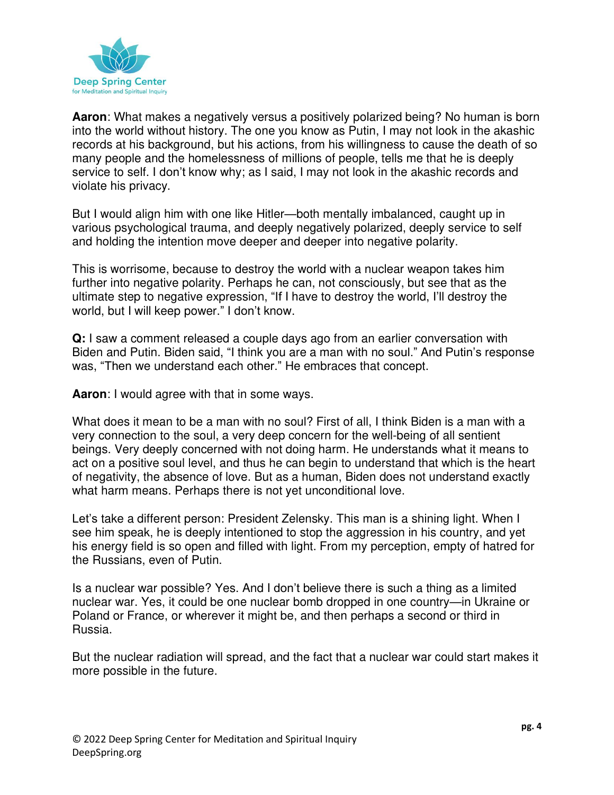

**Aaron**: What makes a negatively versus a positively polarized being? No human is born into the world without history. The one you know as Putin, I may not look in the akashic records at his background, but his actions, from his willingness to cause the death of so many people and the homelessness of millions of people, tells me that he is deeply service to self. I don't know why; as I said, I may not look in the akashic records and violate his privacy.

But I would align him with one like Hitler—both mentally imbalanced, caught up in various psychological trauma, and deeply negatively polarized, deeply service to self and holding the intention move deeper and deeper into negative polarity.

This is worrisome, because to destroy the world with a nuclear weapon takes him further into negative polarity. Perhaps he can, not consciously, but see that as the ultimate step to negative expression, "If I have to destroy the world, I'll destroy the world, but I will keep power." I don't know.

**Q:** I saw a comment released a couple days ago from an earlier conversation with Biden and Putin. Biden said, "I think you are a man with no soul." And Putin's response was, "Then we understand each other." He embraces that concept.

**Aaron**: I would agree with that in some ways.

What does it mean to be a man with no soul? First of all, I think Biden is a man with a very connection to the soul, a very deep concern for the well-being of all sentient beings. Very deeply concerned with not doing harm. He understands what it means to act on a positive soul level, and thus he can begin to understand that which is the heart of negativity, the absence of love. But as a human, Biden does not understand exactly what harm means. Perhaps there is not yet unconditional love.

Let's take a different person: President Zelensky. This man is a shining light. When I see him speak, he is deeply intentioned to stop the aggression in his country, and yet his energy field is so open and filled with light. From my perception, empty of hatred for the Russians, even of Putin.

Is a nuclear war possible? Yes. And I don't believe there is such a thing as a limited nuclear war. Yes, it could be one nuclear bomb dropped in one country—in Ukraine or Poland or France, or wherever it might be, and then perhaps a second or third in Russia.

But the nuclear radiation will spread, and the fact that a nuclear war could start makes it more possible in the future.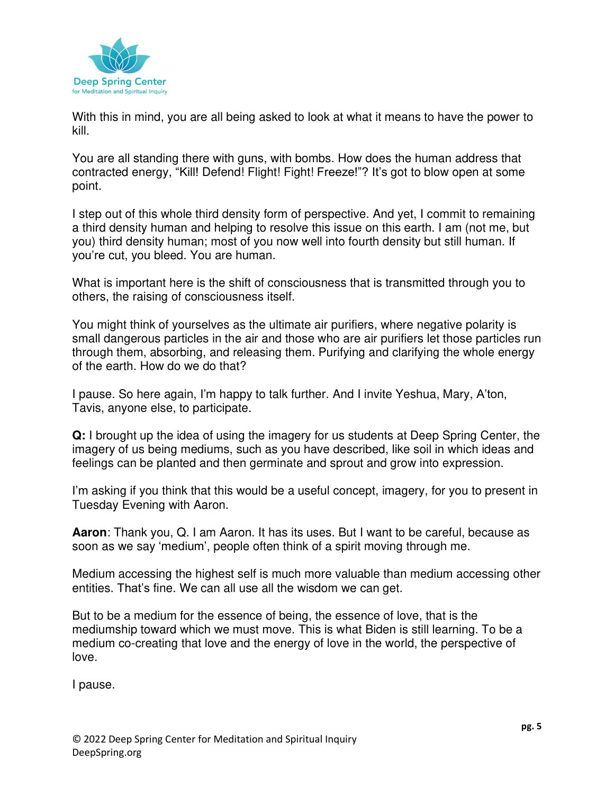

With this in mind, you are all being asked to look at what it means to have the power to kill.

You are all standing there with guns, with bombs. How does the human address that contracted energy, "Kill! Defend! Flight! Fight! Freeze!"? It's got to blow open at some point.

I step out of this whole third density form of perspective. And yet, I commit to remaining a third density human and helping to resolve this issue on this earth. I am (not me, but you) third density human; most of you now well into fourth density but still human. If you're cut, you bleed. You are human.

What is important here is the shift of consciousness that is transmitted through you to others, the raising of consciousness itself.

You might think of yourselves as the ultimate air purifiers, where negative polarity is small dangerous particles in the air and those who are air purifiers let those particles run through them, absorbing, and releasing them. Purifying and clarifying the whole energy of the earth. How do we do that?

I pause. So here again, I'm happy to talk further. And I invite Yeshua, Mary, A'ton, Tavis, anyone else, to participate.

**Q:** I brought up the idea of using the imagery for us students at Deep Spring Center, the imagery of us being mediums, such as you have described, like soil in which ideas and feelings can be planted and then germinate and sprout and grow into expression.

I'm asking if you think that this would be a useful concept, imagery, for you to present in Tuesday Evening with Aaron.

**Aaron**: Thank you, Q. I am Aaron. It has its uses. But I want to be careful, because as soon as we say 'medium', people often think of a spirit moving through me.

Medium accessing the highest self is much more valuable than medium accessing other entities. That's fine. We can all use all the wisdom we can get.

But to be a medium for the essence of being, the essence of love, that is the mediumship toward which we must move. This is what Biden is still learning. To be a medium co-creating that love and the energy of love in the world, the perspective of love.

I pause.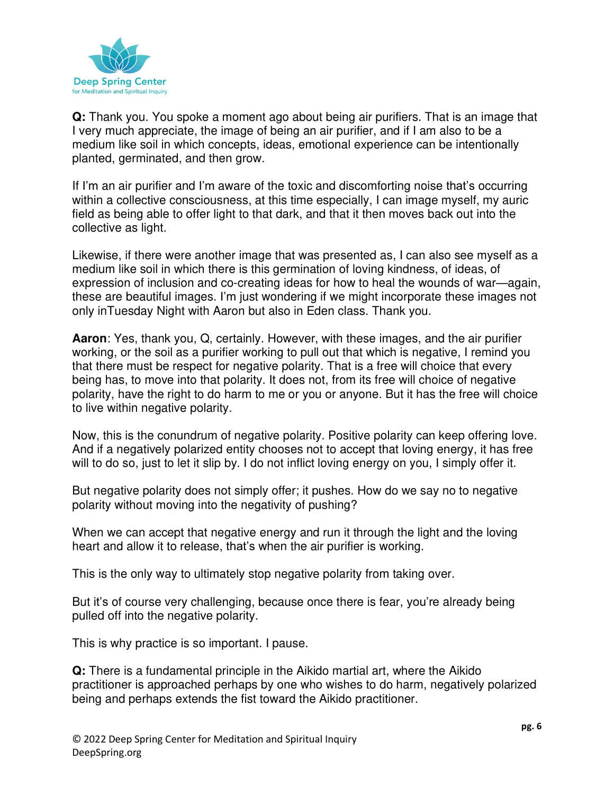

**Q:** Thank you. You spoke a moment ago about being air purifiers. That is an image that I very much appreciate, the image of being an air purifier, and if I am also to be a medium like soil in which concepts, ideas, emotional experience can be intentionally planted, germinated, and then grow.

If I'm an air purifier and I'm aware of the toxic and discomforting noise that's occurring within a collective consciousness, at this time especially, I can image myself, my auric field as being able to offer light to that dark, and that it then moves back out into the collective as light.

Likewise, if there were another image that was presented as, I can also see myself as a medium like soil in which there is this germination of loving kindness, of ideas, of expression of inclusion and co-creating ideas for how to heal the wounds of war—again, these are beautiful images. I'm just wondering if we might incorporate these images not only inTuesday Night with Aaron but also in Eden class. Thank you.

**Aaron**: Yes, thank you, Q, certainly. However, with these images, and the air purifier working, or the soil as a purifier working to pull out that which is negative, I remind you that there must be respect for negative polarity. That is a free will choice that every being has, to move into that polarity. It does not, from its free will choice of negative polarity, have the right to do harm to me or you or anyone. But it has the free will choice to live within negative polarity.

Now, this is the conundrum of negative polarity. Positive polarity can keep offering love. And if a negatively polarized entity chooses not to accept that loving energy, it has free will to do so, just to let it slip by. I do not inflict loving energy on you, I simply offer it.

But negative polarity does not simply offer; it pushes. How do we say no to negative polarity without moving into the negativity of pushing?

When we can accept that negative energy and run it through the light and the loving heart and allow it to release, that's when the air purifier is working.

This is the only way to ultimately stop negative polarity from taking over.

But it's of course very challenging, because once there is fear, you're already being pulled off into the negative polarity.

This is why practice is so important. I pause.

**Q:** There is a fundamental principle in the Aikido martial art, where the Aikido practitioner is approached perhaps by one who wishes to do harm, negatively polarized being and perhaps extends the fist toward the Aikido practitioner.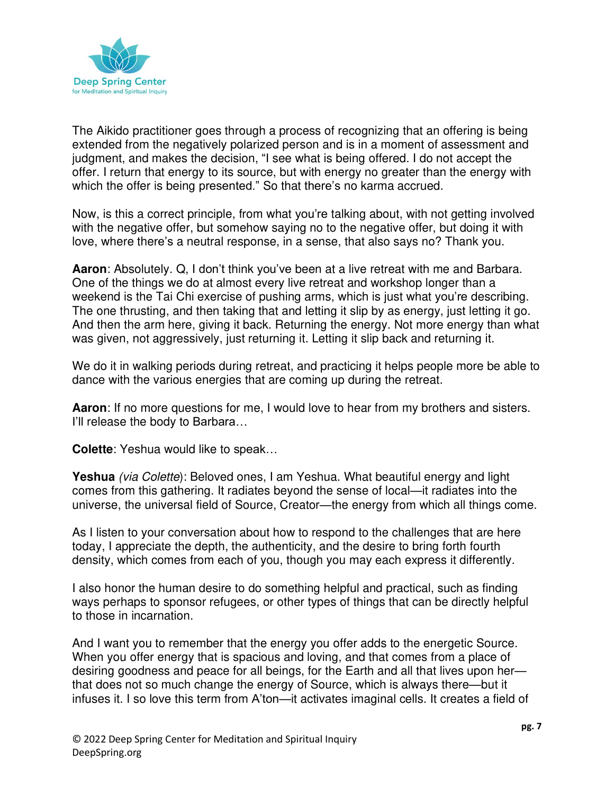

The Aikido practitioner goes through a process of recognizing that an offering is being extended from the negatively polarized person and is in a moment of assessment and judgment, and makes the decision, "I see what is being offered. I do not accept the offer. I return that energy to its source, but with energy no greater than the energy with which the offer is being presented." So that there's no karma accrued.

Now, is this a correct principle, from what you're talking about, with not getting involved with the negative offer, but somehow saying no to the negative offer, but doing it with love, where there's a neutral response, in a sense, that also says no? Thank you.

**Aaron**: Absolutely. Q, I don't think you've been at a live retreat with me and Barbara. One of the things we do at almost every live retreat and workshop longer than a weekend is the Tai Chi exercise of pushing arms, which is just what you're describing. The one thrusting, and then taking that and letting it slip by as energy, just letting it go. And then the arm here, giving it back. Returning the energy. Not more energy than what was given, not aggressively, just returning it. Letting it slip back and returning it.

We do it in walking periods during retreat, and practicing it helps people more be able to dance with the various energies that are coming up during the retreat.

**Aaron**: If no more questions for me, I would love to hear from my brothers and sisters. I'll release the body to Barbara…

**Colette**: Yeshua would like to speak…

**Yeshua** (via Colette): Beloved ones, I am Yeshua. What beautiful energy and light comes from this gathering. It radiates beyond the sense of local—it radiates into the universe, the universal field of Source, Creator—the energy from which all things come.

As I listen to your conversation about how to respond to the challenges that are here today, I appreciate the depth, the authenticity, and the desire to bring forth fourth density, which comes from each of you, though you may each express it differently.

I also honor the human desire to do something helpful and practical, such as finding ways perhaps to sponsor refugees, or other types of things that can be directly helpful to those in incarnation.

And I want you to remember that the energy you offer adds to the energetic Source. When you offer energy that is spacious and loving, and that comes from a place of desiring goodness and peace for all beings, for the Earth and all that lives upon her that does not so much change the energy of Source, which is always there—but it infuses it. I so love this term from A'ton—it activates imaginal cells. It creates a field of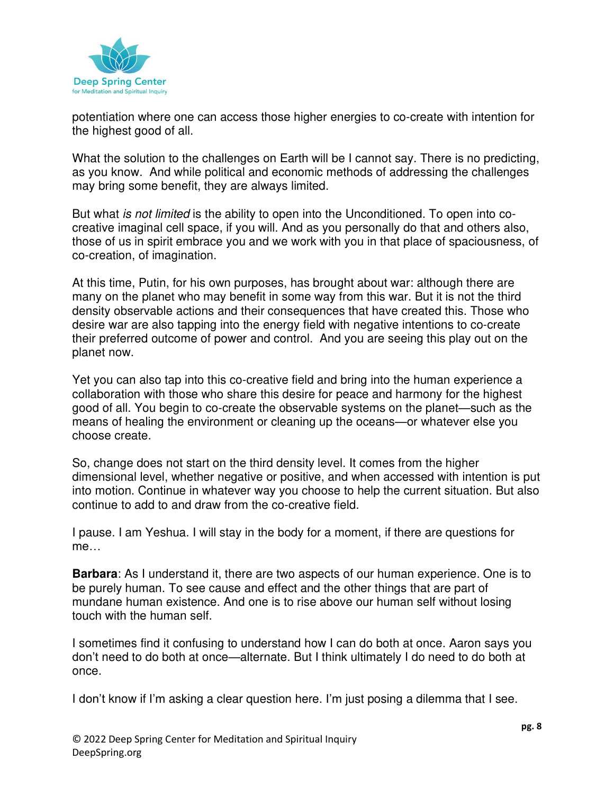

potentiation where one can access those higher energies to co-create with intention for the highest good of all.

What the solution to the challenges on Earth will be I cannot say. There is no predicting, as you know. And while political and economic methods of addressing the challenges may bring some benefit, they are always limited.

But what *is not limited* is the ability to open into the Unconditioned. To open into cocreative imaginal cell space, if you will. And as you personally do that and others also, those of us in spirit embrace you and we work with you in that place of spaciousness, of co-creation, of imagination.

At this time, Putin, for his own purposes, has brought about war: although there are many on the planet who may benefit in some way from this war. But it is not the third density observable actions and their consequences that have created this. Those who desire war are also tapping into the energy field with negative intentions to co-create their preferred outcome of power and control. And you are seeing this play out on the planet now.

Yet you can also tap into this co-creative field and bring into the human experience a collaboration with those who share this desire for peace and harmony for the highest good of all. You begin to co-create the observable systems on the planet—such as the means of healing the environment or cleaning up the oceans—or whatever else you choose create.

So, change does not start on the third density level. It comes from the higher dimensional level, whether negative or positive, and when accessed with intention is put into motion. Continue in whatever way you choose to help the current situation. But also continue to add to and draw from the co-creative field.

I pause. I am Yeshua. I will stay in the body for a moment, if there are questions for me…

**Barbara**: As I understand it, there are two aspects of our human experience. One is to be purely human. To see cause and effect and the other things that are part of mundane human existence. And one is to rise above our human self without losing touch with the human self.

I sometimes find it confusing to understand how I can do both at once. Aaron says you don't need to do both at once—alternate. But I think ultimately I do need to do both at once.

I don't know if I'm asking a clear question here. I'm just posing a dilemma that I see.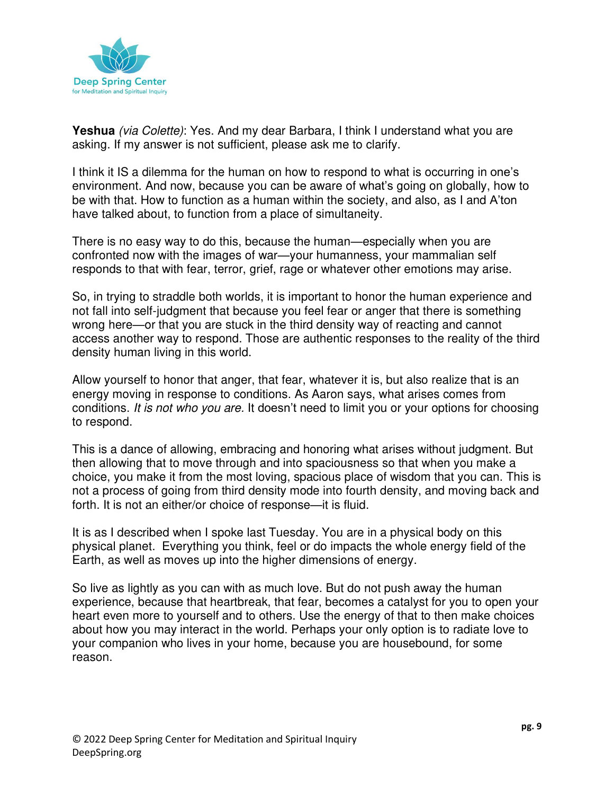

**Yeshua** (via Colette): Yes. And my dear Barbara, I think I understand what you are asking. If my answer is not sufficient, please ask me to clarify.

I think it IS a dilemma for the human on how to respond to what is occurring in one's environment. And now, because you can be aware of what's going on globally, how to be with that. How to function as a human within the society, and also, as I and A'ton have talked about, to function from a place of simultaneity.

There is no easy way to do this, because the human—especially when you are confronted now with the images of war—your humanness, your mammalian self responds to that with fear, terror, grief, rage or whatever other emotions may arise.

So, in trying to straddle both worlds, it is important to honor the human experience and not fall into self-judgment that because you feel fear or anger that there is something wrong here—or that you are stuck in the third density way of reacting and cannot access another way to respond. Those are authentic responses to the reality of the third density human living in this world.

Allow yourself to honor that anger, that fear, whatever it is, but also realize that is an energy moving in response to conditions. As Aaron says, what arises comes from conditions. It is not who you are. It doesn't need to limit you or your options for choosing to respond.

This is a dance of allowing, embracing and honoring what arises without judgment. But then allowing that to move through and into spaciousness so that when you make a choice, you make it from the most loving, spacious place of wisdom that you can. This is not a process of going from third density mode into fourth density, and moving back and forth. It is not an either/or choice of response—it is fluid.

It is as I described when I spoke last Tuesday. You are in a physical body on this physical planet. Everything you think, feel or do impacts the whole energy field of the Earth, as well as moves up into the higher dimensions of energy.

So live as lightly as you can with as much love. But do not push away the human experience, because that heartbreak, that fear, becomes a catalyst for you to open your heart even more to yourself and to others. Use the energy of that to then make choices about how you may interact in the world. Perhaps your only option is to radiate love to your companion who lives in your home, because you are housebound, for some reason.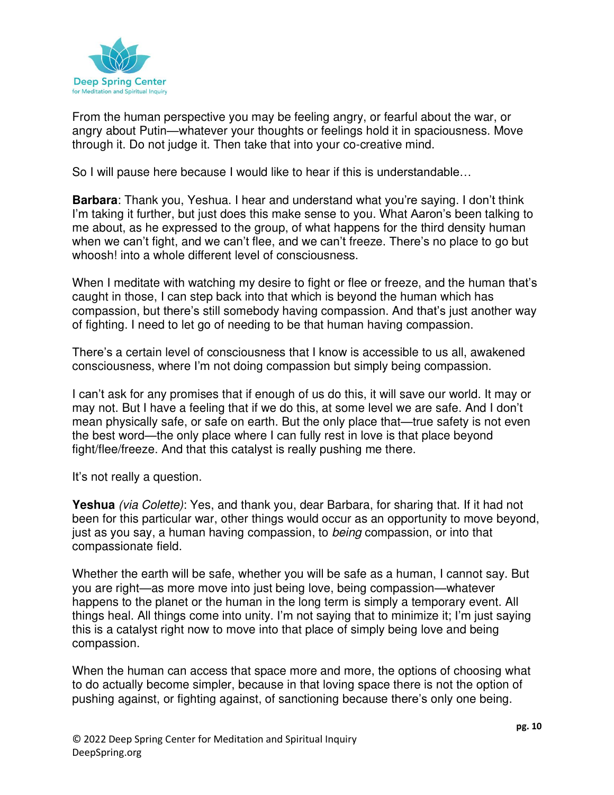

From the human perspective you may be feeling angry, or fearful about the war, or angry about Putin—whatever your thoughts or feelings hold it in spaciousness. Move through it. Do not judge it. Then take that into your co-creative mind.

So I will pause here because I would like to hear if this is understandable…

**Barbara**: Thank you, Yeshua. I hear and understand what you're saying. I don't think I'm taking it further, but just does this make sense to you. What Aaron's been talking to me about, as he expressed to the group, of what happens for the third density human when we can't fight, and we can't flee, and we can't freeze. There's no place to go but whoosh! into a whole different level of consciousness.

When I meditate with watching my desire to fight or flee or freeze, and the human that's caught in those, I can step back into that which is beyond the human which has compassion, but there's still somebody having compassion. And that's just another way of fighting. I need to let go of needing to be that human having compassion.

There's a certain level of consciousness that I know is accessible to us all, awakened consciousness, where I'm not doing compassion but simply being compassion.

I can't ask for any promises that if enough of us do this, it will save our world. It may or may not. But I have a feeling that if we do this, at some level we are safe. And I don't mean physically safe, or safe on earth. But the only place that—true safety is not even the best word—the only place where I can fully rest in love is that place beyond fight/flee/freeze. And that this catalyst is really pushing me there.

It's not really a question.

**Yeshua** (via Colette): Yes, and thank you, dear Barbara, for sharing that. If it had not been for this particular war, other things would occur as an opportunity to move beyond, just as you say, a human having compassion, to being compassion, or into that compassionate field.

Whether the earth will be safe, whether you will be safe as a human, I cannot say. But you are right—as more move into just being love, being compassion—whatever happens to the planet or the human in the long term is simply a temporary event. All things heal. All things come into unity. I'm not saying that to minimize it; I'm just saying this is a catalyst right now to move into that place of simply being love and being compassion.

When the human can access that space more and more, the options of choosing what to do actually become simpler, because in that loving space there is not the option of pushing against, or fighting against, of sanctioning because there's only one being.